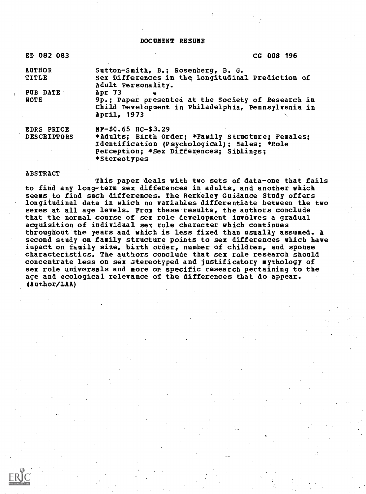## DOCUMENT RESUME

| ED 082 083         | CG 008 196                                                                                                              |
|--------------------|-------------------------------------------------------------------------------------------------------------------------|
| <b>AUTHOR</b>      | Sutton-Smith, B.; Rosenberg, B. G.                                                                                      |
| TITLE              | Sex Differences in the Longitudinal Prediction of<br>Adult Personality.                                                 |
| PUB DATE           | Apr $73$<br>$\bullet$                                                                                                   |
| NOTE               | 9p.; Paper presented at the Society of Research in<br>Child Development in Philadelphia, Pennsylvania in<br>April, 1973 |
| <b>EDRS PRICE</b>  | MF-\$0.65 HC-\$3.29                                                                                                     |
| <b>DESCRIPTORS</b> | *Adults; Birth Order; *Family Structure; Females;                                                                       |
|                    | Identification (Psychological); Males; *Role                                                                            |
|                    | Perception: *Sex Differences: Siblings:                                                                                 |
|                    | *Stereotypes                                                                                                            |

## ABSTRACT

This paper deals with two sets of data-one that fails to find any long-term sex differences in adults, and another which seems to find such differences. The Berkeley Guidance Study offers longitudinal data in which no variables differentiate between the two sexes at all age levels. From these-results, the authors conclude that the normal course of sex role development involves a gradual acquisition of individual sex rule character which continues throughout the years and which is less fixed than usually assumed. A second study on family structure points to sex differences which have impact on family size, birth order, number of children, and spouse characteristics. The authors conclude that sex role research should concentrate less on sex ztereotyped and justificatory mythology of sex role universals and more on specific research pertaining to the age and ecological relevance of the differences that do appear. (Author/LAA)

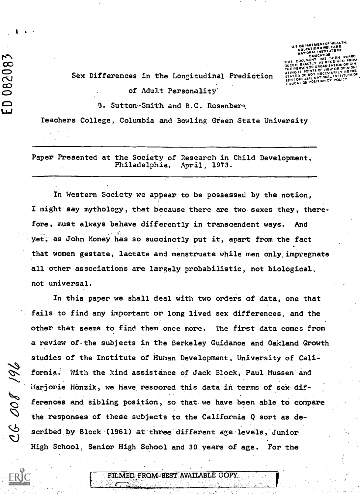$\frac{1}{2}$  $\overline{O}$  $\infty$  $\bullet$  and the set of  $\bullet$ 

761 800 30

U.S. DEPARTMENT OF HEALTH,<br>EDUCATION & WELFARE NATIONAL INSTITUTE OF EDUCATIC **DOCUMENT** HAS BEEN REPRO DUCED EXACTLY ORGANIZATION AS RECEIVED FROM DUCED EXACTLY CORDIZATION ORIGIN<br>THE PERSON OR ORGANIZATION OPINIONS<br>ATING IT POINTS OF VIEW OR OPINIONS STATED DO NOT NECESSARILY REPRE STATED DO NOT NECESSAL INSTITUTE OF<br>SENT OFFICIAL NATIONAL INSTITUTE OF<br>EDUCATION POSITION OR POLICY

## Sex Differences in the Longitudinal Prediction

of Adult Personality'

CMw S. Sutton-Smith and B.G. Rosenberg

Teachers College, Columbia and Bowling Green State University

Paper Presented at the Society of Research in Child Development, Philadelphia. April, 1973.

In Western Society we appear to be possessed by the notion, I might say mythology, that because there are two sexes they, therefore, must always behave differently in transcendent ways. And yet, as John Money has so succinctly put it, apart from the fact that women gestate, lactate and menstruate while men only, impregnate all other associations are largely probabilistic, not biological, not universal.

In this paper we shall deal with two orders of data, one that fails to find any important or long lived sex differences, and the other that seems to find them once more. The first data comes from a review of the subjects in the Berkeley Guidance and Oakland Growth studies of the Institute of Human Development, University of California. With the kind assistance of Jack Block, Paul Mussen and Marjorie Honzik, we have rescored this data in terms of sex differences and sibling position, so that.we have been able to compare the responses of these subjects to the California Q sort as described by Block (1961) at three different age levels, Junior High School; Senior High School and 30 years of age. For the

FILMED FROM BEST AVAILABLE COPY.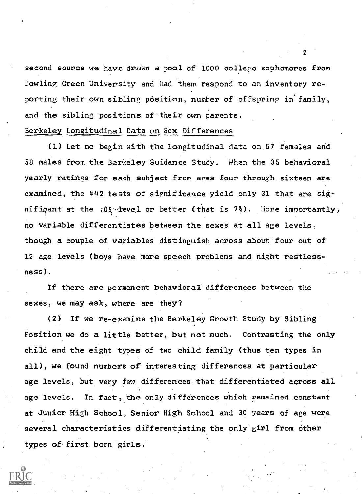second source we have drawn a pool of 1000 college sophomores from Powling Green University and had them respond to an inventory reporting their own sibling position, number of offspring in family, and the sibling positions of their own parents.

## Berkeley Longitudinal Data on Sex Differences

(1) Let me begin with the longitudinal data on 57 females and 58 males from the Berkeley Guidance Study. When the 35 behavioral yearly ratings for each subject from ages four through sixteen are examined, the 442 tests of significance yield only 31 that are significant at the  $.05$  level or better (that is 7%). More importantly, no variable differentiates between the sexes at all age levels, though a couple of variables distinguish across about four out of 12 age levels (boys have more speech problems and night restlessness).

If there are permanent behavioral differences between the sexes, we may ask, where are they?

(2) If we re-examine the Berkeley Growth Study by Sibling Position we do a little better, but not much. Contrasting the only child and the eight types of two child family (thus ten types in all), we found numbers of interesting differences at particular age levels, but very few differences that differentiated across all age levels. In fact, the only differences which remained constant at Junior High School, Senior High School and 30 years of age were several characteristics differentiating the only girl from other types of first born girls.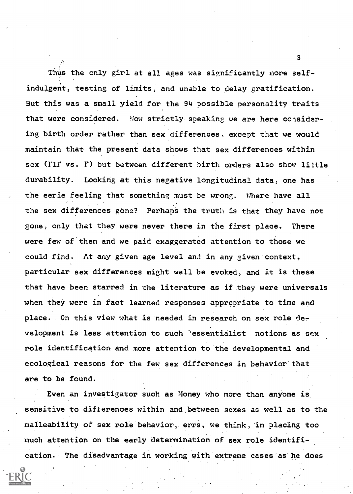Thus the only girl at all ages was significantly more self-; indulgent, testing of limits, and unable to delay gratification. But this was a small yield for the 94 possible personality traits that were considered. Now strictly speaking we are here considering birth order rather than sex differences, except that we would maintain that the present data shows that sex differences within sex (F1F vs. F) but between different birth orders also show little durability. Looking at this negative longitudinal data, one has the eerie feeling that something must be wrong. Where have all the sex differences gone? Perhaps the truth is that they have not gone, only that they were never there in the first place. There were few of them and we paid exaggerated attention to those we could find. At any given age level and in any given context, particular sex differences might well be evoked, and it is these that have been starred in the literature as if they were universals when they were in fact learned responses appropriate to time and place. On this view what is needed in research on sex role development is less attention to such 'essentialist notions as sex role identification and more attention to the developmental and ecological reasons for the few sex differences in behavior that are to be found.

Even an investigator such as Money who more than anyone is sensitive to differences within and between sexes as well as to the malleability of sex role behavior, errs, we think, in placing too much attention on the early determination of sex role identification. The disadvantage in working with extreme cases as he does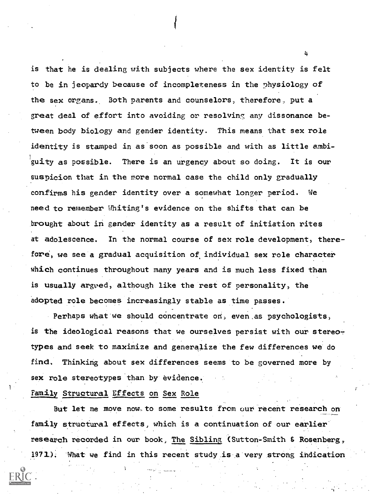is that he is dealing with subjects where the sex identity is felt to be in jeopardy because of incompleteness in the physiology of the sex organs. Both parents and counselors, therefore, put a great deal of effort into avoiding or resolving any dissonance between body biology and gender identity. This means that sex role identity is stamped in as soon as possible and with as little ambiguity as possible. There is an urgency about so doing. It is our suspicion that in the more normal case the child only gradually confirms his gender identity over a somewhat longer period. We need to remember Whiting's evidence on the shifts that can be brought about in gender identity as a result of initiation rites at adolescence. In the normal course of sex role development, therefore., we see a gradual acquisition of individual sex role character which continues throughout many years and is much less fixed than is usually argued, although like the rest of personality, the adopted role becomes increasingly stable as time passes.

Perhaps what we should concentrate on, even as psychologists, is the ideological reasons that we ourselves persist with our stereotypes and seek to maximize and generalize the few differences we do find. Thinking about sex differences seems to be governed more by sex role stereotypes than by evidence.

Family Structural Effects on Sex Role

But let me move now to some results from our recent research on family structural effects, which is a continuation of our earlier research recorded in our book, The Sibling (Sutton-Smith & Rosenberg, 1971). What we find in this recent study is a very strong indication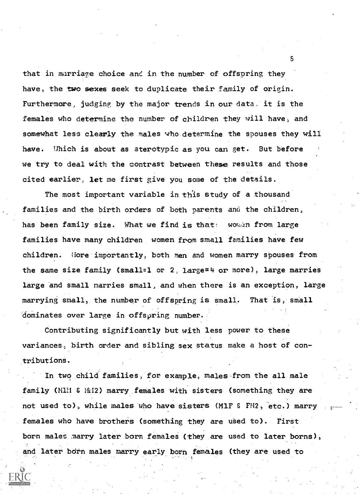that in marriage choice and in the number of offspring they have, the two sexes seek to duplicate their family of origin. Furthermore, judging by the major trends in our data, it is the females who determine the number of children they will have, and somewhat less clearly the males who determine the spouses they will have. Which is about as aterotypic as you can get. But before we try to deal with the contrast between these results and those cited earlier, let me first give you some of the details.

The most important variable in this study of a thousand families and the birth orders of both parents and the children, has been family size. What we find is that: women from large families have many children women from small families have few children. Hore importantly, both men and women marry spouses from the same size family (small=1 or 2, large=4 or more), large marries large and small marries small, and when there is an exception, large marrying small, the number of offspring is small. That is, small dominates over large in offspring number.

Contributing significantly but with less power to these variances, birth order and sibling sex status make a host of contributions.

In two child families, for example, males from the all male family (MlH & Mi2) marry females with sisters (something they are not used to), while males who have sisters (M1F & FM2, etc.) marry females who have brothers (something they are used to). First born males marry later born females (they are used to later borns), and later born males marry early born females (they are used to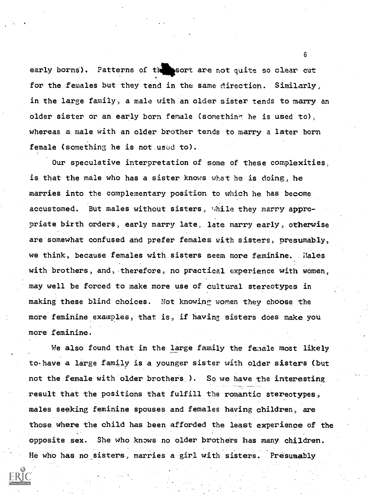early borns). Patterns of the sort are not quite so clear cut for the females but they tend in the same direction. Similarly, in the large family, a male with an older sister tends to marry an older sister or an early born female (something he is used to), whereas a male with an older brother tends to marry a later born female (something he is not used to).

Our speculative interpretation of some of these complexities, is that the male who has a sister knows what he is doing, he marries into the complementary position to which he has become accustomed. But males without sisters, while they marry appropriate birth orders, early marry late, late marry early, otherwise are somewhat confused and prefer females with sisters, presumably, we think, because females with sisters seem more feminine. : Males with brothers, and, therefore, no practical experience with women, may well be forced to make more use of cultural stereotypes in making these blind choices. Not knowing women they choose the more feminine examples, that is, if having sisters does make you more feminine.

We also found that in the large family the female most likely to. have a large family is a younger sister with older sisters (but not the female with older brothers ). So we have the interesting result that the positions that fulfill the romantic stereotypes, males seeking feminine spouses and females having children, are those where the child has been afforded the least experience of the opposite sex. She who knows no older brothers has many children. He who has no sisters, marries a girl with sisters. Presumably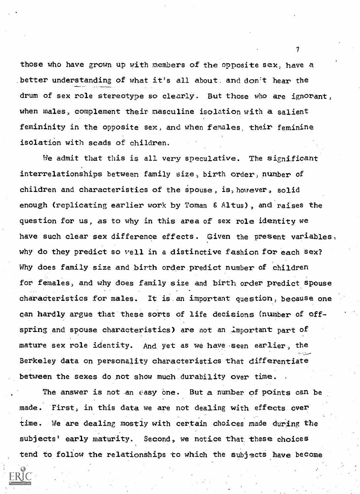those who have grown up with members of the opposite sex, have a better understanding of what it's all about, and don't hear the drum of sex role stereotype so clearly. But those who are ignorant, when males, complement their masculine isolation with a salient femininity in the opposite sex, and when females, their feminine isolation with scads of children.

We admit that this is all very speculative. The significant interrelationships between family size, birth order, number of children and characteristics of the spouse, is, however, solid enough (replicating earlier work by Toman & Altus), and raises the question for us, as to why in this area of sex role identity we have such clear sex difference effects. Given the present variables, why do they predict so well in a distinctive fashion for each Sex? Why does family size and birth order predict number of children for females, and why does family size and birth order predict spouse characteristics for males. It is an important question, because one can hardly argue that these sorts of life decisions (number of offspring and spouse characteristics) are not an important part of mature sex role identity. And yet as we have seen earlier, the Berkeley data on personality characteristics that differentiate between the sexes do not show much durability over time.

The answer is not an easy one. But a number of points can be made. First, in this data we are not dealing with effects over time. We are dealing mostly with certain choices made during the subjects' early maturity. Second, we notice that these choices tend to follow the relationships to which the subjects have become

 $\mathcal{T}$  and  $\mathcal{T}$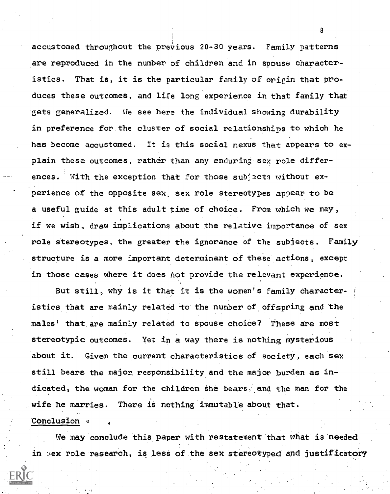accustomed throughout the previous 20-30 years. Family patterns are reproduced in the number of children and in spouse characteristics. That is, it is the particular family of origin that produces these outcomes, and life long experience in that family that gets generalized. We see here the individual showing durability in preference for the cluster of social relationships to which he has become accustomed. It is this social nexus that appears to explain these outcomes, rather than any enduring sex role differences. With the exception that for those subjects without experience of the opposite sex, sex role stereotypes appear to be a useful guide at this adult time of choice. From which we may, if we wish, draw implications about the relative importance of sex role stereotypes, the greater the ignorance of the subjects. Family structure is a more important determinant of these actions, except in those cases where it does hot provide the relevant experience.

But still, why is it that it is the women's family characteristics that are mainly related to the number of offspring and the males' that are mainly related to spouse choice? These are most stereotypic outcomes. Yet in a way there is nothing mysterious about it. Given the current characteristics of society, each sex still bears the major. responsibility and the major burden as indicated, the woman for the children she bears, and the man for the wife he marries. There is nothing immutable about that. Conclusion  $\circ$ 

We may conclude this-paper with restatement that what is needed in sex role research, is less of the sex stereotyped and justificatory